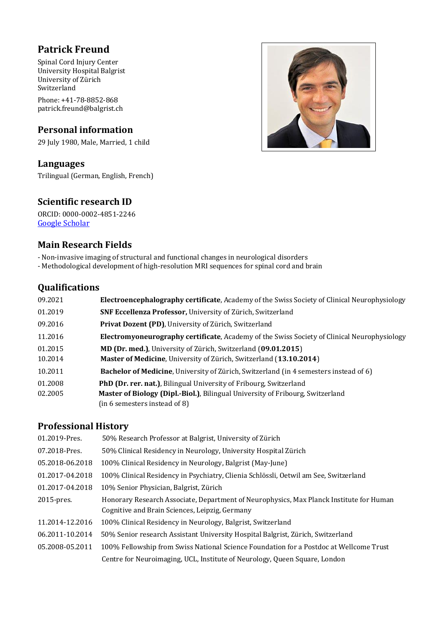# **Patrick Freund**

Spinal Cord Injury Center University Hospital Balgrist University of Zürich **Switzerland** 

Phone: +41-78-8852-868 patrick.freund@balgrist.ch

# **Personal information**

29 July 1980, Male, Married, 1 child

# **Languages**

Trilingual (German, English, French)

# **Scientific research ID**

ORCID: 0000-0002-4851-2246 [Google Scholar](https://scholar.google.ch/citations?user=eVDXdiwAAAAJ&hl=en)

## **Main Research Fields**

- Non-invasive imaging of structural and functional changes in neurological disorders

- Methodological development of high-resolution MRI sequences for spinal cord and brain

## **Qualifications**

| 09.2021 | <b>Electroencephalography certificate, Academy of the Swiss Society of Clinical Neurophysiology</b> |
|---------|-----------------------------------------------------------------------------------------------------|
| 01.2019 | <b>SNF Eccellenza Professor, University of Zürich, Switzerland</b>                                  |
| 09.2016 | Privat Dozent (PD), University of Zürich, Switzerland                                               |
| 11.2016 | <b>Electromyoneurography certificate, Academy of the Swiss Society of Clinical Neurophysiology</b>  |
| 01.2015 | MD (Dr. med.), University of Zürich, Switzerland (09.01.2015)                                       |
| 10.2014 | Master of Medicine, University of Zürich, Switzerland (13.10.2014)                                  |
| 10.2011 | <b>Bachelor of Medicine, University of Zürich, Switzerland (in 4 semesters instead of 6)</b>        |
| 01.2008 | PhD (Dr. rer. nat.), Bilingual University of Fribourg, Switzerland                                  |
| 02.2005 | Master of Biology (Dipl.-Biol.), Bilingual University of Fribourg, Switzerland                      |
|         | (in 6 semesters instead of 8)                                                                       |

# **Professional History**

| 01.2019-Pres.   | 50% Research Professor at Balgrist, University of Zürich                                                                                  |
|-----------------|-------------------------------------------------------------------------------------------------------------------------------------------|
| 07.2018-Pres.   | 50% Clinical Residency in Neurology, University Hospital Zürich                                                                           |
| 05.2018-06.2018 | 100% Clinical Residency in Neurology, Balgrist (May-June)                                                                                 |
| 01.2017-04.2018 | 100% Clinical Residency in Psychiatry, Clienia Schlössli, Oetwil am See, Switzerland                                                      |
| 01.2017-04.2018 | 10% Senior Physician, Balgrist, Zürich                                                                                                    |
| $2015$ -pres.   | Honorary Research Associate, Department of Neurophysics, Max Planck Institute for Human<br>Cognitive and Brain Sciences, Leipzig, Germany |
| 11.2014-12.2016 | 100% Clinical Residency in Neurology, Balgrist, Switzerland                                                                               |
| 06.2011-10.2014 | 50% Senior research Assistant University Hospital Balgrist, Zürich, Switzerland                                                           |
| 05.2008-05.2011 | 100% Fellowship from Swiss National Science Foundation for a Postdoc at Wellcome Trust                                                    |
|                 | Centre for Neuroimaging, UCL, Institute of Neurology, Queen Square, London                                                                |

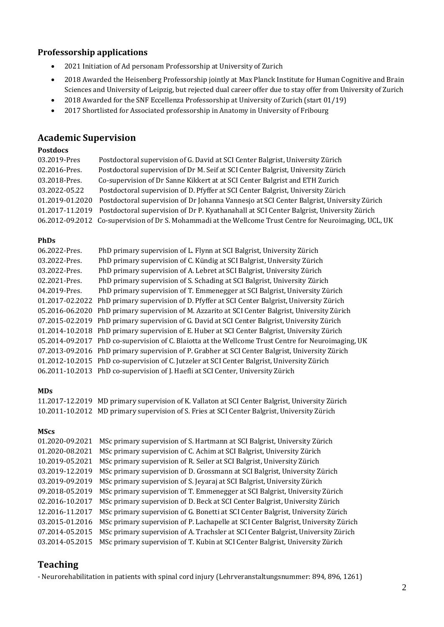## **Professorship applications**

- 2021 Initiation of Ad personam Professorship at University of Zurich
- 2018 Awarded the Heisenberg Professorship jointly at Max Planck Institute for Human Cognitive and Brain Sciences and University of Leipzig, but rejected dual career offer due to stay offer from University of Zurich
- 2018 Awarded for the SNF Eccellenza Professorship at University of Zurich (start 01/19)
- 2017 Shortlisted for Associated professorship in Anatomy in University of Fribourg

## **Academic Supervision**

### **Postdocs**

| Postdoctoral supervision of G. David at SCI Center Balgrist, University Zürich                           |
|----------------------------------------------------------------------------------------------------------|
| Postdoctoral supervision of Dr M. Seif at SCI Center Balgrist, University Zürich                         |
| Co-supervision of Dr Sanne Kikkert at at SCI Center Balgrist and ETH Zurich                              |
| Postdoctoral supervision of D. Pfyffer at SCI Center Balgrist, University Zürich                         |
| Postdoctoral supervision of Dr Johanna Vannesjo at SCI Center Balgrist, University Zürich                |
| 01.2017-11.2019 Postdoctoral supervision of Dr P. Kyathanahall at SCI Center Balgrist, University Zürich |
| 06.2012-09.2012 Co-supervision of Dr S. Mohammadi at the Wellcome Trust Centre for Neuroimaging, UCL, UK |
|                                                                                                          |

### **PhDs**

| 06.2022-Pres. | PhD primary supervision of L. Flynn at SCI Balgrist, University Zürich                              |
|---------------|-----------------------------------------------------------------------------------------------------|
| 03.2022-Pres. | PhD primary supervision of C. Kündig at SCI Balgrist, University Zürich                             |
| 03.2022-Pres. | PhD primary supervision of A. Lebret at SCI Balgrist, University Zürich                             |
| 02.2021-Pres. | PhD primary supervision of S. Schading at SCI Balgrist, University Zürich                           |
| 04.2019-Pres. | PhD primary supervision of T. Emmenegger at SCI Balgrist, University Zürich                         |
|               | 01.2017-02.2022 PhD primary supervision of D. Pfyffer at SCI Center Balgrist, University Zürich     |
|               | 05.2016-06.2020 PhD primary supervision of M. Azzarito at SCI Center Balgrist, University Zürich    |
|               | 07.2015-02.2019 PhD primary supervision of G. David at SCI Center Balgrist, University Zürich       |
|               | 01.2014-10.2018 PhD primary supervision of E. Huber at SCI Center Balgrist, University Zürich       |
|               | 05.2014-09.2017 PhD co-supervision of C. Blaiotta at the Wellcome Trust Centre for Neuroimaging, UK |
|               | 07.2013-09.2016 PhD primary supervision of P. Grabher at SCI Center Balgrist, University Zürich     |
|               | 01.2012-10.2015 PhD co-supervision of C. Jutzeler at SCI Center Balgrist, University Zürich         |
|               | 06.2011-10.2013 PhD co-supervision of J. Haefli at SCI Center, University Zürich                    |

#### **MDs**

11.2017-12.2019 MD primary supervision of K. Vallaton at SCI Center Balgrist, University Zürich 10.2011-10.2012 MD primary supervision of S. Fries at SCI Center Balgrist, University Zürich

#### **MScs**

| 01.2020-09.2021 | MSc primary supervision of S. Hartmann at SCI Balgrist, University Zürich          |
|-----------------|------------------------------------------------------------------------------------|
| 01.2020-08.2021 | MSc primary supervision of C. Achim at SCI Balgrist, University Zürich             |
| 10.2019-05.2021 | MSc primary supervision of R. Seiler at SCI Balgrist, University Zürich            |
| 03.2019-12.2019 | MSc primary supervision of D. Grossmann at SCI Balgrist, University Zürich         |
| 03.2019-09.2019 | MSc primary supervision of S. Jeyaraj at SCI Balgrist, University Zürich           |
| 09.2018-05.2019 | MSc primary supervision of T. Emmenegger at SCI Balgrist, University Zürich        |
| 02.2016-10.2017 | MSc primary supervision of D. Beck at SCI Center Balgrist, University Zürich       |
| 12.2016-11.2017 | MSc primary supervision of G. Bonetti at SCI Center Balgrist, University Zürich    |
| 03.2015-01.2016 | MSc primary supervision of P. Lachapelle at SCI Center Balgrist, University Zürich |
| 07.2014-05.2015 | MSc primary supervision of A. Trachsler at SCI Center Balgrist, University Zürich  |
| 03.2014-05.2015 | MSc primary supervision of T. Kubin at SCI Center Balgrist, University Zürich      |
|                 |                                                                                    |

## **Teaching**

- Neurorehabilitation in patients with spinal cord injury (Lehrveranstaltungsnummer: 894, 896, 1261)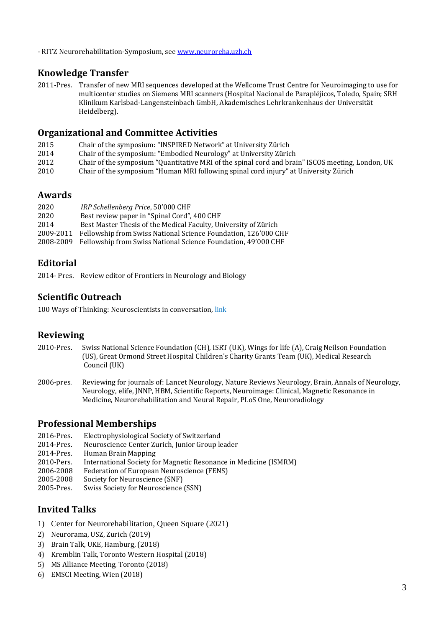- RITZ Neurorehabilitation-Symposium, see [www.neuroreha.uzh.ch](http://www.neuroreha.uzh.ch/)

# **Knowledge Transfer**

2011-Pres. Transfer of new MRI sequences developed at the Wellcome Trust Centre for Neuroimaging to use for multicenter studies on Siemens MRI scanners (Hospital Nacional de Parapléjicos, Toledo, Spain; SRH Klinikum Karlsbad-Langensteinbach GmbH, Akademisches Lehrkrankenhaus der Universität Heidelberg).

## **Organizational and Committee Activities**

- 2015 Chair of the symposium: "INSPIRED Network" at University Zürich
- 2014 Chair of the symposium: "Embodied Neurology" at University Zürich
- 2012 Chair of the symposium "Quantitative MRI of the spinal cord and brain" ISCOS meeting, London, UK
- 2010 Chair of the symposium "Human MRI following spinal cord injury" at University Zürich

## **Awards**

| 2020      | IRP Schellenberg Price, 50'000 CHF                                      |
|-----------|-------------------------------------------------------------------------|
| 2020      | Best review paper in "Spinal Cord", 400 CHF                             |
| 2014      | Best Master Thesis of the Medical Faculty, University of Zürich         |
| 2009-2011 | Fellowship from Swiss National Science Foundation, 126'000 CHF          |
|           | 2008-2009 Fellowship from Swiss National Science Foundation, 49'000 CHF |

# **Editorial**

2014- Pres. Review editor of Frontiers in Neurology and Biology

# **Scientific Outreach**

100 Ways of Thinking: Neuroscientists in conversation, [link](https://100ways.ch/en/147/event_detail/)

# **Reviewing**

- 2010-Pres. Swiss National Science Foundation (CH), ISRT (UK), Wings for life (A), Craig Neilson Foundation (US), Great Ormond Street Hospital Children's Charity Grants Team (UK), Medical Research Council (UK)
- 2006-pres. Reviewing for journals of: Lancet Neurology, Nature Reviews Neurology, Brain, Annals of Neurology, Neurology, elife, JNNP, HBM, Scientific Reports, Neuroimage: Clinical, Magnetic Resonance in Medicine, Neurorehabilitation and Neural Repair, PLoS One, Neuroradiology

# **Professional Memberships**

- 2016-Pres. Electrophysiological Society of Switzerland
- 2014-Pres. Neuroscience Center Zurich, Junior Group leader
- 2014-Pres. Human Brain Mapping
- 2010-Pers. International Society for Magnetic Resonance in Medicine (ISMRM)
- 2006-2008 Federation of European Neuroscience (FENS)
- 2005-2008 Society for Neuroscience (SNF)
- 2005-Pres. Swiss Society for Neuroscience (SSN)

# **Invited Talks**

- 1) Center for Neurorehabilitation, Queen Square (2021)
- 2) Neurorama, USZ, Zurich (2019)
- 3) Brain Talk, UKE, Hamburg, (2018)
- 4) Kremblin Talk, Toronto Western Hospital (2018)
- 5) MS Alliance Meeting, Toronto (2018)
- 6) EMSCI Meeting, Wien (2018)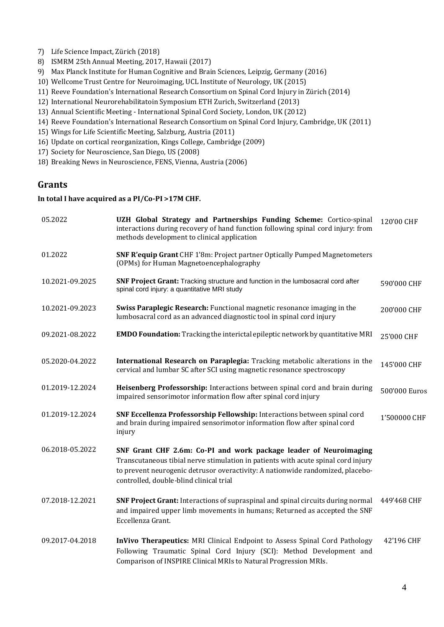- 7) Life Science Impact, Zürich (2018)
- 8) ISMRM 25th Annual Meeting, 2017, Hawaii (2017)
- 9) Max Planck Institute for Human Cognitive and Brain Sciences, Leipzig, Germany (2016)
- 10) Wellcome Trust Centre for Neuroimaging, UCL Institute of Neurology, UK (2015)
- 11) Reeve Foundation's International Research Consortium on Spinal Cord Injury in Zürich (2014)
- 12) International Neurorehabilitatoin Symposium ETH Zurich, Switzerland (2013)
- 13) Annual Scientific Meeting International Spinal Cord Society, London, UK (2012)
- 14) Reeve Foundation's International Research Consortium on Spinal Cord Injury, Cambridge, UK (2011)
- 15) Wings for Life Scientific Meeting, Salzburg, Austria (2011)
- 16) Update on cortical reorganization, Kings College, Cambridge (2009)
- 17) Society for Neuroscience, San Diego, US (2008)
- 18) Breaking News in Neuroscience, FENS, Vienna, Austria (2006)

## **Grants**

### **In total I have acquired as a PI/Co-PI >17M CHF.**

| 05.2022         | UZH Global Strategy and Partnerships Funding Scheme: Cortico-spinal<br>interactions during recovery of hand function following spinal cord injury: from<br>methods development to clinical application                                                                              | 120'00 CHF    |
|-----------------|-------------------------------------------------------------------------------------------------------------------------------------------------------------------------------------------------------------------------------------------------------------------------------------|---------------|
| 01.2022         | <b>SNF R'equip Grant</b> CHF 1'8m: Project partner Optically Pumped Magnetometers<br>(OPMs) for Human Magnetoencephalography                                                                                                                                                        |               |
| 10.2021-09.2025 | SNF Project Grant: Tracking structure and function in the lumbosacral cord after<br>spinal cord injury: a quantitative MRI study                                                                                                                                                    | 590'000 CHF   |
| 10.2021-09.2023 | Swiss Paraplegic Research: Functional magnetic resonance imaging in the<br>lumbosacral cord as an advanced diagnostic tool in spinal cord injury                                                                                                                                    | 200'000 CHF   |
| 09.2021-08.2022 | <b>EMDO Foundation:</b> Tracking the interictal epileptic network by quantitative MRI                                                                                                                                                                                               | 25'000 CHF    |
| 05.2020-04.2022 | International Research on Paraplegia: Tracking metabolic alterations in the<br>cervical and lumbar SC after SCI using magnetic resonance spectroscopy                                                                                                                               | 145'000 CHF   |
| 01.2019-12.2024 | Heisenberg Professorship: Interactions between spinal cord and brain during<br>impaired sensorimotor information flow after spinal cord injury                                                                                                                                      | 500'000 Euros |
| 01.2019-12.2024 | SNF Eccellenza Professorship Fellowship: Interactions between spinal cord<br>and brain during impaired sensorimotor information flow after spinal cord<br>injury                                                                                                                    | 1'500000 CHF  |
| 06.2018-05.2022 | SNF Grant CHF 2.6m: Co-PI and work package leader of Neuroimaging<br>Transcutaneous tibial nerve stimulation in patients with acute spinal cord injury<br>to prevent neurogenic detrusor overactivity: A nationwide randomized, placebo-<br>controlled, double-blind clinical trial |               |
| 07.2018-12.2021 | SNF Project Grant: Interactions of supraspinal and spinal circuits during normal<br>and impaired upper limb movements in humans; Returned as accepted the SNF<br>Eccellenza Grant.                                                                                                  | 449'468 CHF   |
| 09.2017-04.2018 | <b>InVivo Therapeutics:</b> MRI Clinical Endpoint to Assess Spinal Cord Pathology<br>Following Traumatic Spinal Cord Injury (SCI): Method Development and<br>Comparison of INSPIRE Clinical MRIs to Natural Progression MRIs.                                                       | 42'196 CHF    |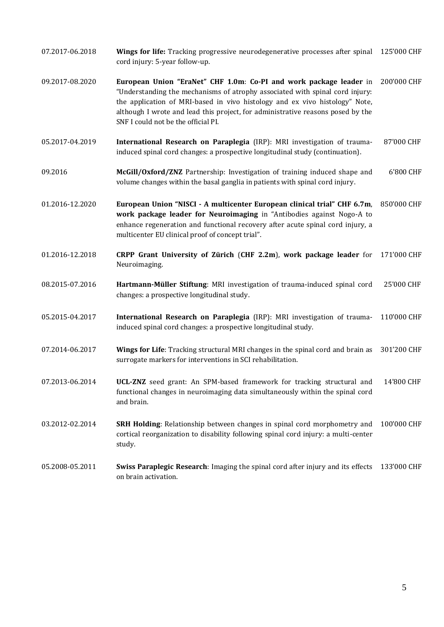- 07.2017-06.2018 **Wings for life:** Tracking progressive neurodegenerative processes after spinal cord injury: 5-year follow-up. 125'000 CHF
- 09.2017-08.2020 **European Union "EraNet" CHF 1.0m**: **Co-PI and work package leader** in 200'000 CHF "Understanding the mechanisms of atrophy associated with spinal cord injury: the application of MRI-based in vivo histology and ex vivo histology" Note, although I wrote and lead this project, for administrative reasons posed by the SNF I could not be the official PI.
- 05.2017-04.2019 **International Research on Paraplegia** (IRP): MRI investigation of traumainduced spinal cord changes: a prospective longitudinal study (continuation). 87'000 CHF
- 09.2016 **McGill/Oxford/ZNZ** Partnership: Investigation of training induced shape and volume changes within the basal ganglia in patients with spinal cord injury. 6'800 CHF
- 01.2016-12.2020 **European Union "NISCI - A multicenter European clinical trial" CHF 6.7m**, **work package leader for Neuroimaging** in "Antibodies against Nogo-A to enhance regeneration and functional recovery after acute spinal cord injury, a multicenter EU clinical proof of concept trial". 850'000 CHF
- 01.2016-12.2018 **CRPP Grant University of Zürich** (**CHF 2.2m**), **work package leader** for Neuroimaging. 171'000 CHF
- 08.2015-07.2016 **Hartmann-Müller Stiftung**: MRI investigation of trauma-induced spinal cord changes: a prospective longitudinal study. 25'000 CHF
- 05.2015-04.2017 **International Research on Paraplegia** (IRP): MRI investigation of traumainduced spinal cord changes: a prospective longitudinal study. 110'000 CHF
- 07.2014-06.2017 **Wings for Life**: Tracking structural MRI changes in the spinal cord and brain as surrogate markers for interventions in SCI rehabilitation. 301'200 CHF
- 07.2013-06.2014 **UCL-ZNZ** seed grant: An SPM-based framework for tracking structural and functional changes in neuroimaging data simultaneously within the spinal cord and brain. 14'800 CHF
- 03.2012-02.2014 **SRH Holding**: Relationship between changes in spinal cord morphometry and cortical reorganization to disability following spinal cord injury: a multi-center study. 100'000 CHF
- 05.2008-05.2011 **Swiss Paraplegic Research**: Imaging the spinal cord after injury and its effects 133'000 CHFon brain activation.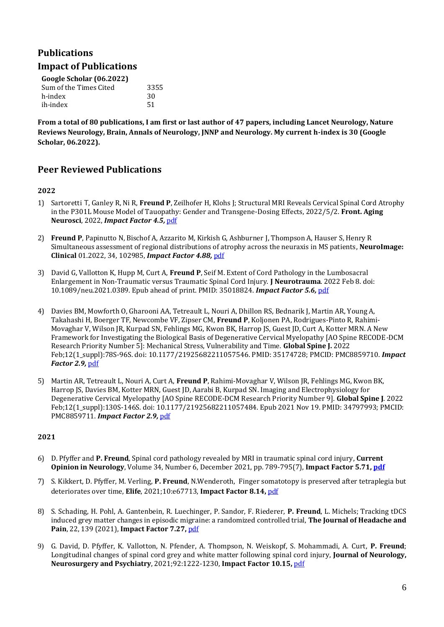# **Publications**

## **Impact of Publications**

| Google Scholar (06.2022) |      |  |  |
|--------------------------|------|--|--|
| Sum of the Times Cited   | 3355 |  |  |
| h-index                  | 30   |  |  |
| ih-index                 | 51   |  |  |

**From a total of 80 publications, I am first or last author of 47 papers, including Lancet Neurology, Nature Reviews Neurology, Brain, Annals of Neurology, JNNP and Neurology. My current h-index is 30 (Google Scholar, 06.2022).**

## **Peer Reviewed Publications**

### **2022**

- 1) Sartoretti T, Ganley R, Ni R, **Freund P**, Zeilhofer H, Klohs J; Structural MRI Reveals Cervical Spinal Cord Atrophy in the P301L Mouse Model of Tauopathy: Gender and Transgene-Dosing Effects, 2022/5/2. **Front. Aging Neurosci**, 2022, *Impact Factor 4.5,* [pdf](https://www.frontiersin.org/articles/10.3389/fnagi.2022.825996/full)
- 2) **Freund P**, Papinutto N, Bischof A, Azzarito M, Kirkish G, Ashburner J, Thompson A, Hauser S, Henry R Simultaneous assessment of regional distributions of atrophy across the neuraxis in MS patients, **NeuroImage: Clinical** 01.2022, 34, 102985, *Impact Factor 4.88,* [pdf](https://www.sciencedirect.com/science/article/pii/S221315822200050X)
- 3) David G, Vallotton K, Hupp M, Curt A, **Freund P**, Seif M. Extent of Cord Pathology in the Lumbosacral Enlargement in Non-Traumatic versus Traumatic Spinal Cord Injury. **J Neurotrauma**. 2022 Feb 8. doi: 10.1089/neu.2021.0389. Epub ahead of print. PMID: 35018824. *Impact Factor 5.6,* [pdf](https://www.liebertpub.com/doi/abs/10.1089/neu.2021.0389)
- 4) Davies BM, Mowforth O, Gharooni AA, Tetreault L, Nouri A, Dhillon RS, Bednarik J, Martin AR, Young A, Takahashi H, Boerger TF, Newcombe VF, Zipser CM, **Freund P**, Koljonen PA, Rodrigues-Pinto R, Rahimi-Movaghar V, Wilson JR, Kurpad SN, Fehlings MG, Kwon BK, Harrop JS, Guest JD, Curt A, Kotter MRN. A New Framework for Investigating the Biological Basis of Degenerative Cervical Myelopathy [AO Spine RECODE-DCM Research Priority Number 5]: Mechanical Stress, Vulnerability and Time. **Global Spine J.** 2022 Feb;12(1\_suppl):78S-96S. doi: 10.1177/21925682211057546. PMID: 35174728; PMCID: PMC8859710. *Impact Factor 2.9,* [pdf](https://journals.sagepub.com/doi/full/10.1177/21925682211057546)
- 5) Martin AR, Tetreault L, Nouri A, Curt A, **Freund P**, Rahimi-Movaghar V, Wilson JR, Fehlings MG, Kwon BK, Harrop JS, Davies BM, Kotter MRN, Guest JD, Aarabi B, Kurpad SN. Imaging and Electrophysiology for Degenerative Cervical Myelopathy [AO Spine RECODE-DCM Research Priority Number 9]. **Global Spine J**. 2022 Feb;12(1\_suppl):130S-146S. doi: 10.1177/21925682211057484. Epub 2021 Nov 19. PMID: 34797993; PMCID: PMC8859711. *Impact Factor 2.9,* [pdf](https://journals.sagepub.com/doi/full/10.1177/21925682211057484)

- 6) D. Pfyffer and **P. Freund**, Spinal cord pathology revealed by MRI in traumatic spinal cord injury, **Current Opinion in Neurology**, Volume 34, Number 6, December 2021, pp. 789-795(7), **Impact Factor 5.71[, pdf](https://journals.lww.com/co-neurology/Abstract/2021/12000/Spinal_cord_pathology_revealed_by_MRI_in_traumatic.4.aspx)**
- 7) S. Kikkert, D. Pfyffer, M. Verling, **P. Freund**, N.Wenderoth, Finger somatotopy is preserved after tetraplegia but deteriorates over time, **Elife**, 2021;10:e67713, **Impact Factor 8.14,** [pdf](https://elifesciences.org/articles/67713)
- 8) S. Schading, H. Pohl, A. Gantenbein, R. Luechinger, P. Sandor, F. Riederer, **P. Freund**, L. Michels; Tracking tDCS induced grey matter changes in episodic migraine: a randomized controlled trial, **The Journal of Headache and Pain**, 22, 139 (2021), **Impact Factor 7.27,** [pdf](https://www.ncbi.nlm.nih.gov/pmc/articles/PMC8605508/)
- 9) G. David, D. Pfyffer, K. Vallotton, N. Pfender, A. Thompson, N. Weiskopf, S. Mohammadi, A. Curt, **P. Freund**; Longitudinal changes of spinal cord grey and white matter following spinal cord injury, **Journal of Neurology, Neurosurgery and Psychiatry**, 2021;92:1222-1230, **Impact Factor 10.15,** [pdf](https://jnnp.bmj.com/content/early/2021/08/11/jnnp-2021-326337)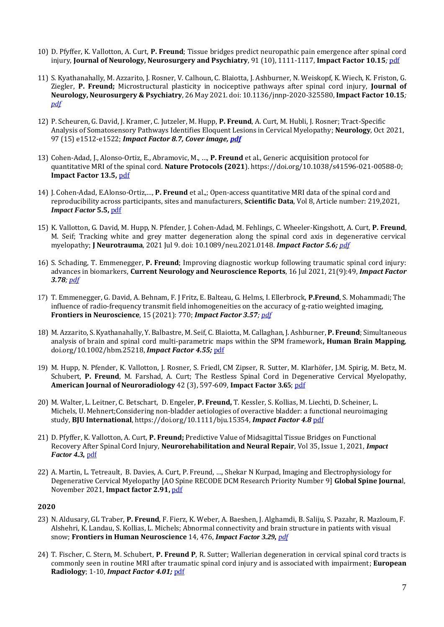- 10) D. Pfyffer, K. Vallotton, A. Curt, **P. Freund**; Tissue bridges predict neuropathic pain emergence after spinal cord injury, **Journal of Neurology, Neurosurgery and Psychiatry**, 91 (10), 1111-1117, **Impact Factor 10.15***;* [pdf](https://jnnp.bmj.com/content/early/2020/08/10/jnnp-2020-323150.abstract)
- 11) S. Kyathanahally, M. Azzarito, J. Rosner, V. Calhoun, C. Blaiotta, J. Ashburner, N. Weiskopf, K. Wiech, K. Friston, G. Ziegler, **P. Freund;** Microstructural plasticity in nociceptive pathways after spinal cord injury, **Journal of Neurology, Neurosurgery & Psychiatry**, 26 May 2021. doi: 10.1136/jnnp-2020-325580, **Impact Factor 10.15***; [pdf](https://jnnp.bmj.com/content/early/2021/05/25/jnnp-2020-325580)*
- 12) P. Scheuren, G. David, J. Kramer, C. Jutzeler, M. Hupp, **P. Freund**, A. Curt, M. Hubli, J. Rosner; Tract-Specific Analysis of Somatosensory Pathways Identifies Eloquent Lesions in Cervical Myelopathy; **Neurology**, Oct 2021, 97 (15) e1512-e1522; *Impact Factor 8.7, Cover image[, pdf](https://pubmed.ncbi.nlm.nih.gov/34380751/)*
- 13) Cohen-Adad, J., Alonso-Ortiz, E., Abramovic, M., …, **P. Freund** et al., Generic acquisition protocol for quantitative MRI of the spinal cord. **Nature Protocols (2021**)[. https://doi.org/10.1038/s41596-021-00588-0;](https://doi.org/10.1038/s41596-021-00588-0) **Impact Factor 13.5,** [pdf](https://www.nature.com/articles/s41596-021-00588-0)
- 14) J. Cohen-Adad, E.Alonso-Ortiz,…, **P. Freund** et al.,; Open-access quantitative MRI data of the spinal cord and reproducibility across participants, sites and manufacturers, **Scientific Data**, Vol 8, Article number: 219,2021, *Impact Factor* **5.5,** [pdf](https://www.nature.com/articles/s41597-021-00941-8)
- 15) K. Vallotton, G. David, M. Hupp, N. Pfender, J. Cohen-Adad, M. Fehlings, C. Wheeler-Kingshott, A. Curt, **P. Freund**, M. Seif; Tracking white and grey matter degeneration along the spinal cord axis in degenerative cervical myelopathy; **J Neurotrauma**, 2021 Jul 9. doi: 10.1089/neu.2021.0148. *Impact Factor 5.6; [pdf](https://pubmed.ncbi.nlm.nih.gov/34238034/)*
- 16) S. Schading, T. Emmenegger, **P. Freund**; Improving diagnostic workup following traumatic spinal cord injury: advances in biomarkers, **Current Neurology and Neuroscience Reports**, 16 Jul 2021, 21(9):49, *Impact Factor 3.78; [pdf](https://europepmc.org/article/med/34268621)*
- 17) T. Emmenegger, G. David, A. Behnam, F. J Fritz, E. Balteau, G. Helms, I. Ellerbrock, **P.Freund**, S. Mohammadi; The influence of radio-frequency transmit field inhomogeneities on the accuracy of g-ratio weighted imaging, **Frontiers in Neuroscience**, 15 (2021): 770; *Impact Factor 3.57; [pdf](https://www.frontiersin.org/articles/10.3389/fnins.2021.674719/abstract)*
- 18) M. Azzarito, S. Kyathanahally, Y. Balbastre, M. Seif, C. Blaiotta, M. Callaghan, J. Ashburner, **P. Freund**; Simultaneous analysis of brain and spinal cord multi-parametric maps within the SPM framework**, Human Brain Mapping**, doi.org/10.1002/hbm.25218, *Impact Factor 4.55;* [pdf](https://onlinelibrary.wiley.com/doi/full/10.1002/hbm.25218)
- 19) M. Hupp, N. Pfender, K. Vallotton, J. Rosner, S. Friedl, CM Zipser, R. Sutter, M. Klarhöfer, J.M. Spirig, M. Betz, M. Schubert, **P. Freund**, M. Farshad, A. Curt; The Restless Spinal Cord in Degenerative Cervical Myelopathy, **American Journal of Neuroradiology** 42 (3), 597-609, **Impact Factor 3.65**[; pdf](http://www.ajnr.org/content/42/3/597/tab-figures-data)
- 20) M. Walter, L. Leitner, C. Betschart, D. Engeler, **P. Freund,** T. Kessler, S. Kollias, M. Liechti, D. Scheiner, L. Michels, U. Mehnert;Considering non‐bladder aetiologies of overactive bladder: a functional neuroimaging study, **BJU International**, https://doi.org/10.1111/bju.15354, *Impact Factor 4.8* [pdf](https://bjui-journals.onlinelibrary.wiley.com/action/doSearch?ContribAuthorStored=Leitner%2C+Lorenz)
- 21) D. Pfyffer, K. Vallotton, A. Curt, **P. Freund;** Predictive Value of Midsagittal Tissue Bridges on Functional Recovery After Spinal Cord Injury, **Neurorehabilitation and Neural Repair**, Vol 35, Issue 1, 2021, *Impact Factor 4.3,* [pdf](https://journals.sagepub.com/doi/full/10.1177/1545968320971787)
- 22) A. Martin, L. Tetreault, B. Davies, A. Curt, P. Freund, …, Shekar N Kurpad, Imaging and Electrophysiology for Degenerative Cervical Myelopathy [AO Spine RECODE DCM Research Priority Number 9] **Global Spine Journa**l, November 2021, **Impact factor 2.91,** [pdf](https://pubmed.ncbi.nlm.nih.gov/34797993/)

- 23) N. Aldusary, GL Traber, **P. Freund**, F. Fierz, K. Weber, A. Baeshen, J. Alghamdi, B. Saliju, S. Pazahr, R. Mazloum, F. Alshehri, K. Landau, S. Kollias, L. Michels; Abnormal connectivity and brain structure in patients with visual snow; **Frontiers in Human Neuroscience** 14, 476, *Impact Factor 3.29, [pdf](https://www.frontiersin.org/articles/10.3389/fnhum.2020.582031/full#:~:text=Abnormal%20Connectivity%20and%20Brain%20Structure%20in%20Patients%20With%20Visual%20Snow,-Njoud%20Aldusary1&text=Objective%3A%20Visual%20snow%20(VS),resulting%20in%20altered%20neuronal%20excitability.)*
- 24) T. Fischer, C. Stern, M. Schubert, **P. Freund P**, R. Sutter; Wallerian degeneration in cervical spinal cord tracts is commonly seen in routine MRI after traumatic spinal cord injury and is associated with impairment; **European Radiology**; 1-10, *Impact Factor 4.01;* [pdf](https://link.springer.com/article/10.1007/s00330-020-07388-2)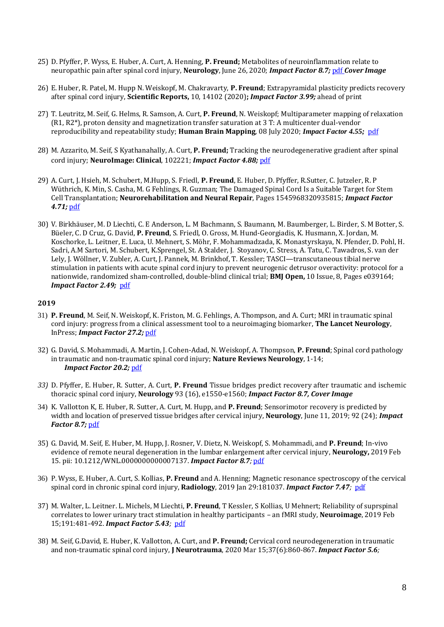- 25) D. Pfyffer, P. Wyss, E. Huber, A. Curt, A. Henning, **P. Freund;** Metabolites of neuroinflammation relate to neuropathic pain after spinal cord injury, **Neurology**, June 26, 2020; *Impact Factor 8.7;* [pdf](https://n.neurology.org/content/early/2020/06/26/WNL.0000000000010003.abstract) *Cover Image*
- 26) E. Huber, R. Patel, M. Hupp N. Weiskopf, M. Chakravarty, **P. Freund**; Extrapyramidal plasticity predicts recovery after spinal cord injury, **Scientific Reports,** 10, 14102 (2020)**;** *Impact Factor 3.99;* ahead of print
- 27) T. Leutritz, M. Seif, G. Helms, R. Samson, A. Curt, **P. Freund**, N. Weiskopf; Multiparameter mapping of relaxation (R1, R2\*), proton density and magnetization transfer saturation at 3 T: A multicenter dual‐vendor reproducibility and repeatability study; **Human Brain Mapping**, 08 July 2020; *Impact Factor 4.55;* [pdf](https://onlinelibrary.wiley.com/doi/full/10.1002/hbm.25122)
- 28) M. Azzarito, M. Seif, S Kyathanahally, A. Curt, **P. Freund;** Tracking the neurodegenerative gradient after spinal cord injury; **NeuroImage: Clinical**, 102221; *Impact Factor 4.88;* [pdf](https://www.sciencedirect.com/science/article/pii/S2213158220300589)
- 29) A. Curt, J. Hsieh, M. Schubert, M.Hupp, S. Friedl, **P. Freund**, E. Huber, D. Pfyffer, R.Sutter, C. Jutzeler, R. P Wüthrich, K. Min, S. Casha, M. G Fehlings, R. Guzman; The Damaged Spinal Cord Is a Suitable Target for Stem Cell Transplantation; **Neurorehabilitation and Neural Repair**, Pages 1545968320935815; *Impact Factor 4.71;* [pdf](https://journals.sagepub.com/doi/abs/10.1177/1545968320935815)
- 30) V. Birkhäuser, M. D Liechti, C. E Anderson, L. M Bachmann, S. Baumann, M. Baumberger, L. Birder, S. M Botter, S. Büeler, C. D Cruz, G. David, **P. Freund**, S. Friedl, O. Gross, M. Hund-Georgiadis, K. Husmann, X. Jordan, M. Koschorke, L. Leitner, E. Luca, U. Mehnert, S. Möhr, F. Mohammadzada, K. Monastyrskaya, N. Pfender, D. Pohl, H. Sadri, A.M Sartori, M. Schubert, K.Sprengel, St. A Stalder, J. Stoyanov, C. Stress, A. Tatu, C. Tawadros, S. van der Lely, J. Wöllner, V. Zubler, A. Curt, J. Pannek, M. Brinkhof, T. Kessler; TASCI—transcutaneous tibial nerve stimulation in patients with acute spinal cord injury to prevent neurogenic detrusor overactivity: protocol for a nationwide, randomized sham-controlled, double-blind clinical trial; **BMJ Open,** 10 Issue, 8, Pages e039164; *Impact Factor 2.49;* [pdf](https://bmjopen.bmj.com/content/10/8/e039164.abstract)

- 31) **P. Freund**, M. Seif, N. Weiskopf, K. Friston, M. G. Fehlings, A. Thompson, and A. Curt; MRI in traumatic spinal cord injury: progress from a clinical assessment tool to a neuroimaging biomarker, **The Lancet Neurology**, InPress; *Impact Factor 27.2;* [pdf](https://www.sciencedirect.com/science/article/abs/pii/S1474442219301383)
- 32) G. David, S. Mohammadi, A. Martin, J. Cohen-Adad, N. Weiskopf, A. Thompson, **P. Freund**; Spinal cord pathology in traumatic and non-traumatic spinal cord injury; **Nature Reviews Neurology**, 1-14; *Impact Factor 20.2;* [pdf](https://www.nature.com/articles/s41582-019-0270-5)
- *33)* D. Pfyffer, E. Huber, R. Sutter, A. Curt, **P. Freund** Tissue bridges predict recovery after traumatic and ischemic thoracic spinal cord injury, **Neurology** 93 (16), e1550-e1560; *Impact Factor 8.7, Cover Image*
- 34) K. Vallotton K, E. Huber, R. Sutter, A. Curt, M. Hupp, and **P. Freund**; Sensorimotor recovery is predicted by width and location of preserved tissue bridges after cervical injury, **Neurology**, June 11, 2019; 92 (24); *Impact Factor 8.7;* [pdf](https://n.neurology.org/content/92/24/e2793.abstract)
- 35) G. David, M. Seif, E. Huber, M. Hupp, J. Rosner, V. Dietz, N. Weiskopf, S. Mohammadi, and **P. Freund**; In-vivo evidence of remote neural degeneration in the lumbar enlargement after cervical injury, **Neurology,** 2019 Feb 15. pii: 10.1212/WNL.0000000000007137. *Impact Factor 8.7;* [pdf](https://www.ncbi.nlm.nih.gov/pubmed/30770423)
- 36) P. Wyss, E. Huber, A. Curt, S. Kollias, **P. Freund** and A. Henning; Magnetic resonance spectroscopy of the cervical spinal cord in chronic spinal cord injury, **Radiology**, 2019 Jan 29:181037. *Impact Factor 7.47;* [pdf](https://pubs.rsna.org/doi/10.1148/radiol.2018181037)
- 37) M. Walter, L. Leitner. L. Michels, M Liechti, **P. Freund**, T Kessler, S Kollias, U Mehnert; Reliability of suprspinal correlates to lower urinary tract stimulation in healthy participants – an fMRI study, **Neuroimage**, 2019 Feb 15;191:481-492. *Impact Factor 5.43;* [pdf](https://www.ncbi.nlm.nih.gov/pubmed/30776530)
- 38) M. Seif, G.David, E. Huber, K. Vallotton, A. Curt, and **P. Freund;** Cervical cord neurodegeneration in traumatic and non-traumatic spinal cord injury, **J Neurotrauma**, 2020 Mar 15;37(6):860-867. *Impact Factor 5.6;*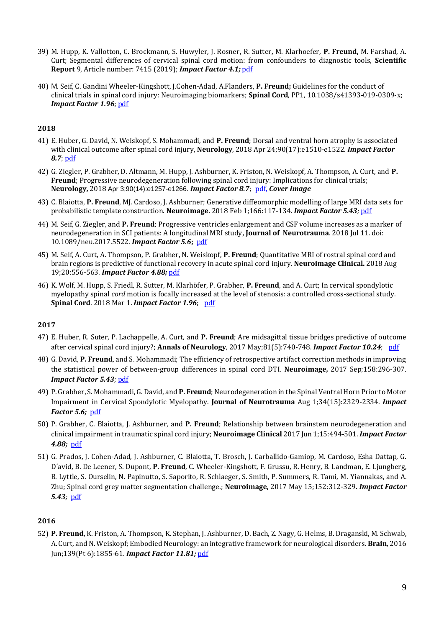- 39) M. Hupp, K. Vallotton, C. Brockmann, S. Huwyler, J. Rosner, R. Sutter, M. Klarhoefer, **P. Freund,** M. Farshad, A. Curt; Segmental differences of cervical spinal cord motion: from confounders to diagnostic tools, **Scientific Report** 9, Article number: 7415 (2019); *Impact Factor 4.1;* [pdf](https://www.nature.com/articles/s41598-019-43908-x)
- 40) M. Seif, C. Gandini Wheeler-Kingshott, J.Cohen-Adad, A.Flanders, **P. Freund;** Guidelines for the conduct of clinical trials in spinal cord injury: Neuroimaging biomarkers; **Spinal Cord**, PP1, 10.1038/s41393-019-0309-x; *Impact Factor 1.96*; [pdf](https://www.nature.com/articles/s41393-019-0309-x)

- 41) E. Huber, G. David, N. Weiskopf, S. Mohammadi, and **P. Freund**; Dorsal and ventral horn atrophy is associated with clinical outcome after spinal cord injury, **Neurology**, 2018 Apr 24;90(17):e1510-e1522. *Impact Factor 8.7*; [pdf](https://www.ncbi.nlm.nih.gov/pubmed/29592888)
- 42) G. Ziegler, P. Grabher, D. Altmann, M. Hupp, J. Ashburner, K. Friston, N. Weiskopf, A. Thompson, A. Curt, and **P. Freund**; Progressive neurodegeneration following spinal cord injury: Implications for clinical trials; **Neurology,** 2018 Apr 3;90(14):e1257-e1266. *Impact Factor 8.7*; [pdf,](https://www.ncbi.nlm.nih.gov/pubmed/29514946) *Cover Image*
- 43) C. Blaiotta, **P. Freund**, MJ. Cardoso, J. Ashburner; Generative diffeomorphic modelling of large MRI data sets for probabilistic template construction. **Neuroimage.** 2018 Feb 1;166:117-134. *Impact Factor 5.43;* [pdf](https://www.ncbi.nlm.nih.gov/pubmed/29100938)
- 44) M. Seif, G. Ziegler, and **P. Freund**; Progressive ventricles enlargement and CSF volume increases as a marker of neurodegeneration in SCI patients: A longitudinal MRI study**, Journal of Neurotrauma**. 2018 Jul 11. doi: 10.1089/neu.2017.5522. *Impact Factor 5.6***;** [pdf](https://www.ncbi.nlm.nih.gov/pubmed/29993326)
- 45) M. Seif, A. Curt, A. Thompson, P. Grabher, N. Weiskopf, **P. Freund**[; Quantitative MRI of rostral spinal cord and](https://www.ncbi.nlm.nih.gov/pubmed/30175042)  [brain regions is predictive of functional recovery in acute spinal cord injury.](https://www.ncbi.nlm.nih.gov/pubmed/30175042) **Neuroimage Clinical.** 2018 Aug 19;20:556-563. *Impact Factor 4.88;* [pdf](https://www.ncbi.nlm.nih.gov/pubmed/30175042)
- 46) K. Wolf, M. Hupp, S. Friedl, R. Sutter, M. Klarhöfer, P. Grabher, **P. Freund**, and A. Curt; In cervical spondylotic myelopathy spinal *cord* motion is focally increased at the level of stenosis: a controlled cross-sectional study. **Spinal Cord**. 2018 Mar 1. *Impact Factor 1.96*; [pdf](https://www.ncbi.nlm.nih.gov/pubmed/29497178)

#### **2017**

- 47) E. Huber, R. Suter, P. Lachappelle, A. Curt, and **P. Freund**; Are midsagittal tissue bridges predictive of outcome after cervical spinal cord injury?; **Annals of Neurology**, 2017 May;81(5):740-748. *Impact Factor 10.24*; [pdf](https://www.ncbi.nlm.nih.gov/pubmed/28393423)
- 48) G. David, **P. Freund**, and S. Mohammadi; The efficiency of retrospective artifact correction methods in improving the statistical power of between-group differences in spinal cord DTI. **Neuroimage,** 2017 Sep;158:296-307. *Impact Factor 5.43;* [pdf](https://www.ncbi.nlm.nih.gov/pubmed/28669912)
- 49) P. Grabher, S. Mohammadi, G. David, and **P. Freund**; Neurodegeneration in the Spinal Ventral Horn Prior to Motor Impairment in Cervical Spondylotic Myelopathy. **Journal of Neurotrauma** Aug 1;34(15):2329-2334. *Impact Factor 5.6;* [pdf](https://www.ncbi.nlm.nih.gov/pubmed/28462691)
- 50) P. Grabher, C. Blaiotta, J. Ashburner, and **P. Freund**; Relationship between brainstem neurodegeneration and clinical impairment in traumatic spinal cord injury; **Neuroimage Clinical** 2017 Jun 1;15:494-501. *Impact Factor 4.88;* [pdf](https://www.ncbi.nlm.nih.gov/pubmed/28649492)
- 51) G. Prados, J. Cohen-Adad, J. Ashburner, C. Blaiotta, T. Brosch, J. Carballido-Gamiop, M. Cardoso, Esha Dattap, G. D´avid, B. De Leener, S. Dupont, **P. Freund**, C. Wheeler-Kingshott, F. Grussu, R. Henry, B. Landman, E. Ljungberg, B. Lyttle, S. Ourselin, N. Papinutto, S. Saporito, R. Schlaeger, S. Smith, P. Summers, R. Tami, M. Yiannakas, and A. Zhu; Spinal cord grey matter segmentation challenge.; **Neuroimage,** 2017 May 15;152:312-329**.** *Impact Factor 5.43;* [pdf](https://www.ncbi.nlm.nih.gov/pubmed/28286318)

### **2016**

52) **P. Freund**, K. Friston, A. Thompson, K. Stephan, J. Ashburner, D. Bach, Z. Nagy, G. Helms, B. Draganski, M. Schwab, A. Curt, and N. Weiskopf; Embodied Neurology: an integrative framework for neurological disorders. **Brain**, 2016 Jun;139(Pt 6):1855-61. *Impact Factor 11.81;* [pdf](https://www.ncbi.nlm.nih.gov/pubmed/27105896)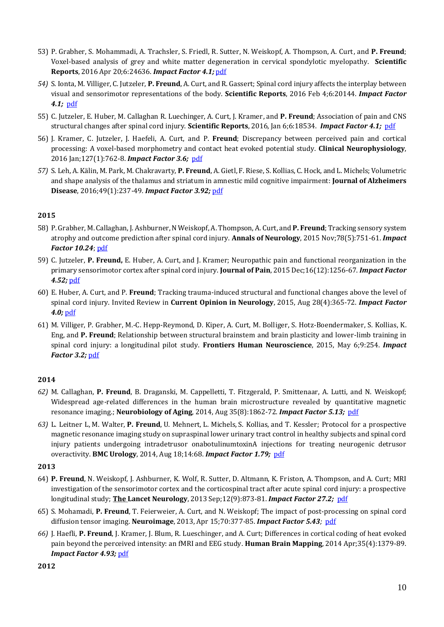- 53) P. Grabher, S. Mohammadi, A. Trachsler, S. Friedl, R. Sutter, N. Weiskopf, A. Thompson, A. Curt, and **P. Freund**; Voxel-based analysis of grey and white matter degeneration in cervical spondylotic myelopathy. **Scientific Reports**, 2016 Apr 20;6:24636. *Impact Factor 4.1;*[pdf](https://www.ncbi.nlm.nih.gov/pubmed/27095134)
- *54)* S. Ionta, M. Villiger, C. Jutzeler, **P. Freund**, A. Curt, and R. Gassert; Spinal cord injury affects the interplay between visual and sensorimotor representations of the body. **Scientific Reports**, 2016 Feb 4;6:20144. *Impact Factor 4.1;* [pdf](https://www.ncbi.nlm.nih.gov/pubmed/26842303)
- 55) C. Jutzeler, E. Huber, M. Callaghan R. Luechinger, A. Curt, J. Kramer, and **P. Freund**; Association of pain and CNS structural changes after spinal cord injury. **Scientific Reports**, 2016, Jan 6;6:18534. *Impact Factor 4.1;* [pdf](https://www.ncbi.nlm.nih.gov/pubmed/26732942)
- 56) J. Kramer, C. Jutzeler, J. Haefeli, A. Curt, and P. **Freund**; Discrepancy between perceived pain and cortical processing: A voxel-based morphometry and contact heat evoked potential study. **Clinical Neurophysiology**, 2016 Jan;127(1):762-8. *Impact Factor 3.6;* [pdf](https://www.ncbi.nlm.nih.gov/pubmed/25805334)
- *57)* S. Leh, A. Kälin, M. Park, M. Chakravarty, **P. Freund**, A. Gietl, F. Riese, S. Kollias, C. Hock, and L. Michels;Volumetric and shape analysis of the thalamus and striatum in amnestic mild cognitive impairment: **Journal of Alzheimers Disease**, 2016;49(1):237-49*. Impact Factor 3.92;* [pdf](https://www.ncbi.nlm.nih.gov/pubmed/26444755)

- 58) P. Grabher, M. Callaghan, J. Ashburner, N Weiskopf, A. Thompson, A. Curt, and **P. Freund**; Tracking sensory system atrophy and outcome prediction after spinal cord injury. **Annals of Neurology**, 2015 Nov;78(5):751-61. *Impact Factor 10.24*; [pdf](https://www.ncbi.nlm.nih.gov/pubmed/26290444)
- 59) C. Jutzeler, **P. Freund,** E. Huber, A. Curt, and J. Kramer; Neuropathic pain and functional reorganization in the primary sensorimotor cortex after spinal cord injury. **Journal of Pain**, 2015 Dec;16(12):1256-67. *Impact Factor 4.52;* [pdf](https://www.ncbi.nlm.nih.gov/pubmed/26392031)
- 60) E. Huber, A. Curt, and P. **Freund**; Tracking trauma-induced structural and functional changes above the level of spinal cord injury. Invited Review in **Current Opinion in Neurology**, 2015, Aug 28(4):365-72. *Impact Factor 4.0;* [pdf](https://www.ncbi.nlm.nih.gov/pubmed/26110798)
- 61) M. Villiger, P. Grabher, M.-C. Hepp-Reymond, D. Kiper, A. Curt, M. Bolliger, S. Hotz-Boendermaker, S. Kollias, K. Eng, and **P. Freund**; Relationship between structural brainstem and brain plasticity and lower-limb training in spinal cord injury: a longitudinal pilot study. **Frontiers Human Neuroscience**, 2015, May 6;9:254. *Impact Factor 3.2;* [pdf](https://www.ncbi.nlm.nih.gov/pubmed/25999842)

## **2014**

- *62)* M. Callaghan, **P. Freund**, B. Draganski, M. Cappelletti, T. Fitzgerald, P. Smittenaar, A. Lutti, and N. Weiskopf; Widespread age-related differences in the human brain microstructure revealed by quantitative magnetic resonance imaging.; **Neurobiology of Aging**, 2014, Aug 35(8):1862-72. *Impact Factor 5.13;* [pdf](https://www.ncbi.nlm.nih.gov/pubmed/24656835)
- *63)* L. [Leitner L,](http://www.ncbi.nlm.nih.gov/pubmed?term=Leitner%20L%5BAuthor%5D&cauthor=true&cauthor_uid=25132340) M. Walter, **P. Freund**, U. Mehnert, L. [Michels,](http://www.ncbi.nlm.nih.gov/pubmed?term=Michels%20L%5BAuthor%5D&cauthor=true&cauthor_uid=25132340) S. [Kollias,](http://www.ncbi.nlm.nih.gov/pubmed?term=Kollias%20S%5BAuthor%5D&cauthor=true&cauthor_uid=25132340) and T. [Kessler;](http://www.ncbi.nlm.nih.gov/pubmed?term=Kessler%20TM%5BAuthor%5D&cauthor=true&cauthor_uid=25132340) Protocol for a prospective magnetic resonance imaging study on supraspinal lower urinary tract control in healthy subjects and spinal cord injury patients undergoing intradetrusor onabotulinumtoxinA injections for treating neurogenic detrusor overactivity. **BMC Urology**, 2014, Aug 18;14:68. *Impact Factor 1.79;* [pdf](https://www.ncbi.nlm.nih.gov/pubmed/25132340)

### **2013**

- 64) **P. Freund**, N. Weiskopf, J. Ashburner, K. Wolf, R. Sutter, D. Altmann, K. Friston, A. Thompson, and A. Curt; MRI investigation of the sensorimotor cortex and the corticospinal tract after acute spinal cord injury: a prospective longitudinal study; **The Lancet Neurology**, 2013 Sep;12(9):873-81. *Impact Factor 27.2;* [pdf](https://www.ncbi.nlm.nih.gov/pubmed/23827394)
- 65) S. Mohamadi, **P. Freund**, T. Feierweier, A. Curt, and N. Weiskopf; The impact of post-processing on spinal cord diffusion tensor imaging. **Neuroimage**, 2013, Apr 15;70:377-85. *Impact Factor 5.43;* [pdf](https://www.ncbi.nlm.nih.gov/pubmed/23298752)
- *66)* J. Haefli, **P. Freund**, J. Kramer, J. Blum, R. Lueschinger, and A. Curt; Differences in cortical coding of heat evoked pain beyond the perceived intensity: an fMRI and EEG study. **Human Brain Mapping**, 2014 Apr;35(4):1379-89. *Impact Factor 4.93;* [pdf](https://www.ncbi.nlm.nih.gov/pubmed/23450833)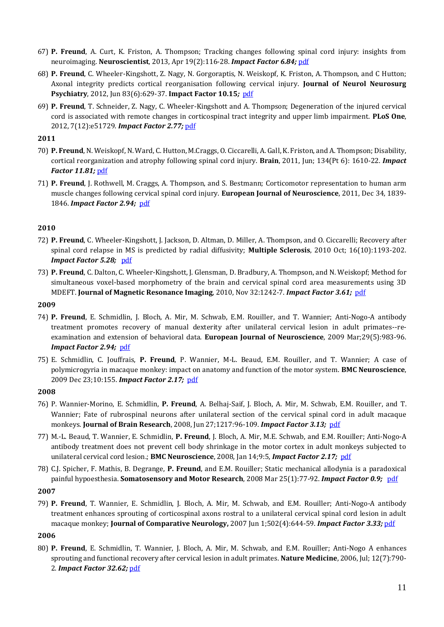- 67) **P. Freund**, A. Curt, K. Friston, A. Thompson; Tracking changes following spinal cord injury: insights from neuroimaging. **Neuroscientist**, 2013, Apr 19(2):116-28. *Impact Factor 6.84;* [pdf](https://www.ncbi.nlm.nih.gov/pubmed/22730072)
- 68) **P. Freund**, C. Wheeler-Kingshott, Z. Nagy, N. Gorgoraptis, N. Weiskopf, K. Friston, A. Thompson, and C Hutton; Axonal integrity predicts cortical reorganisation following cervical injury. **Journal of Neurol Neurosurg Psychiatry**, 2012, Jun 83(6):629-37. **Impact Factor 10.15***;* [pdf](https://www.ncbi.nlm.nih.gov/pubmed/22492214)
- 69) **P. Freund**, T. Schneider, Z. Nagy, C. Wheeler-Kingshott and A. Thompson; Degeneration of the injured cervical cord is associated with remote changes in corticospinal tract integrity and upper limb impairment. **PLoS One**, 2012, 7(12):e51729. *Impact Factor 2.77;* [pdf](https://www.ncbi.nlm.nih.gov/pubmed/23251612)

- 70) **P. Freund**, N. Weiskopf, N. Ward, C. Hutton, M.Craggs, O. Ciccarelli, A. Gall, K. Friston, and A. Thompson; Disability, cortical reorganization and atrophy following spinal cord injury. **Brain**, 2011, Jun; 134(Pt 6): 1610-22. *Impact Factor 11.81;* [pdf](https://www.ncbi.nlm.nih.gov/pubmed/21586596)
- 71) **P. Freund**, J. Rothwell, M. Craggs, A. Thompson, and S. Bestmann; Corticomotor representation to human arm muscle changes following cervical spinal cord injury. **European Journal of Neuroscience**, 2011, Dec 34, 1839- 1846. *Impact Factor 2.94;* [pdf](https://www.ncbi.nlm.nih.gov/pubmed/22082003)

### **2010**

- 72) **P. Freund**, C. Wheeler-Kingshott, J. Jackson, D. Altman, D. Miller, A. Thompson, and O. Ciccarelli; Recovery after spinal cord relapse in MS is predicted by radial diffusivity; **Multiple Sclerosis**, 2010 Oct; 16(10):1193-202. *Impact Factor 5.28;* [pdf](https://www.ncbi.nlm.nih.gov/pubmed/20685759)
- 73) **P. Freund**, C. Dalton, C. Wheeler-Kingshott, J. Glensman, D. Bradbury, A. Thompson, and N. Weiskopf; Method for simultaneous voxel-based morphometry of the brain and cervical spinal cord area measurements using 3D MDEFT. **Journal of Magnetic Resonance Imaging**, 2010, Nov 32:1242-7. *Impact Factor 3.61;* [pdf](https://www.ncbi.nlm.nih.gov/pubmed/21031531)

### **2009**

- 74) **P. Freund**, E. Schmidlin, J. Bloch, A. Mir, M. Schwab, E.M. Rouiller, and T. Wannier; Anti-Nogo-A antibody treatment promotes recovery of manual dexterity after unilateral cervical lesion in adult primates--reexamination and extension of behavioral data. **European Journal of Neuroscience**, 2009 Mar;29(5):983-96. *Impact Factor 2.94;* [pdf](https://www.ncbi.nlm.nih.gov/pubmed/19291225)
- 75) E. Schmidlin, C. Jouffrais, **P. Freund**, P. Wannier, M-L. Beaud, E.M. Rouiller, and T. Wannier; A case of polymicrogyria in macaque monkey: impact on anatomy and function of the motor system. **BMC Neuroscience**, 2009 Dec 23;10:155. *Impact Factor 2.17;* [pdf](https://www.ncbi.nlm.nih.gov/pubmed/20030837)

#### **2008**

- 76) P. Wannier-Morino, E. Schmidlin, **P. Freund**, A. Belhaj-Saif, J. Bloch, A. Mir, M. Schwab, E.M. Rouiller, and T. Wannier; Fate of rubrospinal neurons after unilateral section of the cervical spinal cord in adult macaque monkeys. **Journal of Brain Research**, 2008, Jun 27;1217:96-109. *Impact Factor 3.13;* [pdf](https://www.ncbi.nlm.nih.gov/pubmed/18508036)
- 77) M.-L. Beaud, T. Wannier, E. Schmidlin, **P. Freund**, J. Bloch, A. Mir, M.E. Schwab, and E.M. Rouiller; Anti-Nogo-A antibody treatment does not prevent cell body shrinkage in the motor cortex in adult monkeys subjected to unilateral cervical cord lesion.; **BMC Neuroscience**, 2008, Jan 14;9:5, *Impact Factor 2.17;* [pdf](https://www.ncbi.nlm.nih.gov/pubmed/18194520)
- 78) C.J. Spicher, F. Mathis, B. Degrange, **P. Freund**, and E.M. Rouiller; Static mechanical allodynia is a paradoxical painful hypoesthesia. **Somatosensory and Motor Research**, 2008 Mar 25(1):77-92. *Impact Factor 0.9;* [pdf](https://www.ncbi.nlm.nih.gov/pubmed/18344149)

#### **2007**

79) **P. Freund**, T. Wannier, E. Schmidlin, J. Bloch, A. Mir, M. Schwab, and E.M. Rouiller; Anti-Nogo-A antibody treatment enhances sprouting of corticospinal axons rostral to a unilateral cervical spinal cord lesion in adult macaque monkey; **Journal of Comparative Neurology,** 2007 Jun 1;502(4):644-59. *Impact Factor 3.33;* [pdf](https://www.ncbi.nlm.nih.gov/pubmed/17394135)

### **2006**

80) **P. Freund**, E. Schmidlin, T. Wannier, J. Bloch, A. Mir, M. Schwab, and E.M. Rouiller; Anti-Nogo A enhances sprouting and functional recovery after cervical lesion in adult primates. **Nature Medicine**, 2006, Jul; 12(7):790- 2. *Impact Factor 32.62;* [pdf](https://www.ncbi.nlm.nih.gov/pubmed/16819551)